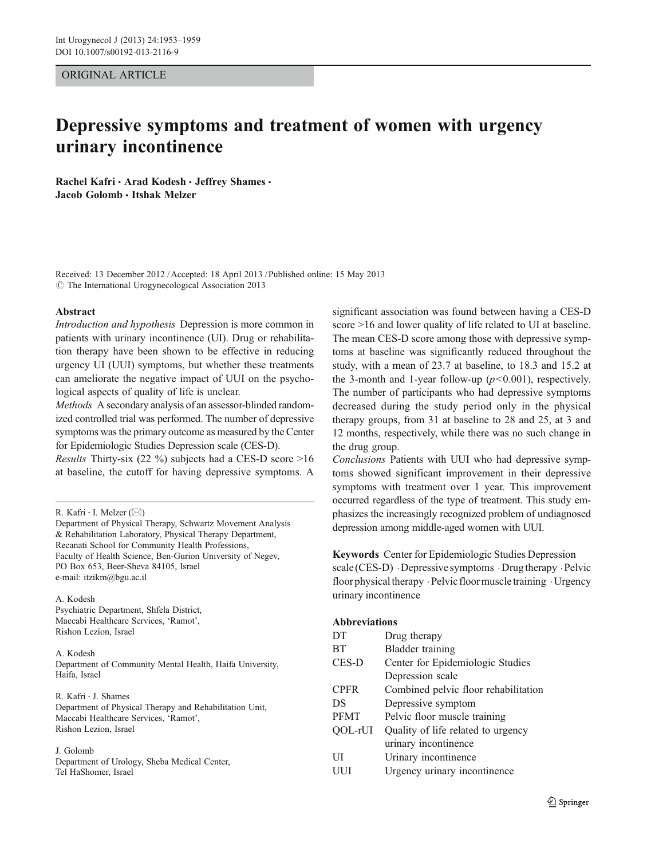# ORIGINAL ARTICLE

# Depressive symptoms and treatment of women with urgency urinary incontinence

Rachel Kafri · Arad Kodesh · Jeffrey Shames · Jacob Golomb & Itshak Melzer

Received: 13 December 2012 /Accepted: 18 April 2013 / Published online: 15 May 2013  $\odot$  The International Urogynecological Association 2013

#### Abstract

Introduction and hypothesis Depression is more common in patients with urinary incontinence (UI). Drug or rehabilitation therapy have been shown to be effective in reducing urgency UI (UUI) symptoms, but whether these treatments can ameliorate the negative impact of UUI on the psychological aspects of quality of life is unclear.

Methods A secondary analysis of an assessor-blinded randomized controlled trial was performed. The number of depressive symptoms was the primary outcome as measured by the Center for Epidemiologic Studies Depression scale (CES-D).

Results Thirty-six (22 %) subjects had a CES-D score >16 at baseline, the cutoff for having depressive symptoms. A

A. Kodesh Psychiatric Department, Shfela District, Maccabi Healthcare Services, 'Ramot', Rishon Lezion, Israel

# A. Kodesh

Department of Community Mental Health, Haifa University, Haifa, Israel

R. Kafri : J. Shames Department of Physical Therapy and Rehabilitation Unit, Maccabi Healthcare Services, 'Ramot', Rishon Lezion, Israel

#### J. Golomb

Department of Urology, Sheba Medical Center, Tel HaShomer, Israel

significant association was found between having a CES-D score >16 and lower quality of life related to UI at baseline. The mean CES-D score among those with depressive symptoms at baseline was significantly reduced throughout the study, with a mean of 23.7 at baseline, to 18.3 and 15.2 at the 3-month and 1-year follow-up  $(p<0.001)$ , respectively. The number of participants who had depressive symptoms decreased during the study period only in the physical therapy groups, from 31 at baseline to 28 and 25, at 3 and 12 months, respectively, while there was no such change in the drug group.

Conclusions Patients with UUI who had depressive symptoms showed significant improvement in their depressive symptoms with treatment over 1 year. This improvement occurred regardless of the type of treatment. This study emphasizes the increasingly recognized problem of undiagnosed depression among middle-aged women with UUI.

Keywords Center for Epidemiologic Studies Depression scale (CES-D)  $\cdot$  Depressive symptoms  $\cdot$  Drugtherapy  $\cdot$  Pelvic floor physical therapy . Pelvic floor muscle training . Urgency urinary incontinence

# Abbreviations

| Drug therapy                         |
|--------------------------------------|
| <b>Bladder</b> training              |
| Center for Epidemiologic Studies     |
| Depression scale                     |
| Combined pelvic floor rehabilitation |
| Depressive symptom                   |
| Pelvic floor muscle training         |
| Quality of life related to urgency   |
| urinary incontinence                 |
| Urinary incontinence                 |
| Urgency urinary incontinence         |
|                                      |

R. Kafri  $\cdot$  I. Melzer ( $\boxtimes$ )

Department of Physical Therapy, Schwartz Movement Analysis & Rehabilitation Laboratory, Physical Therapy Department, Recanati School for Community Health Professions, Faculty of Health Science, Ben-Gurion University of Negev, PO Box 653, Beer-Sheva 84105, Israel e-mail: itzikm@bgu.ac.il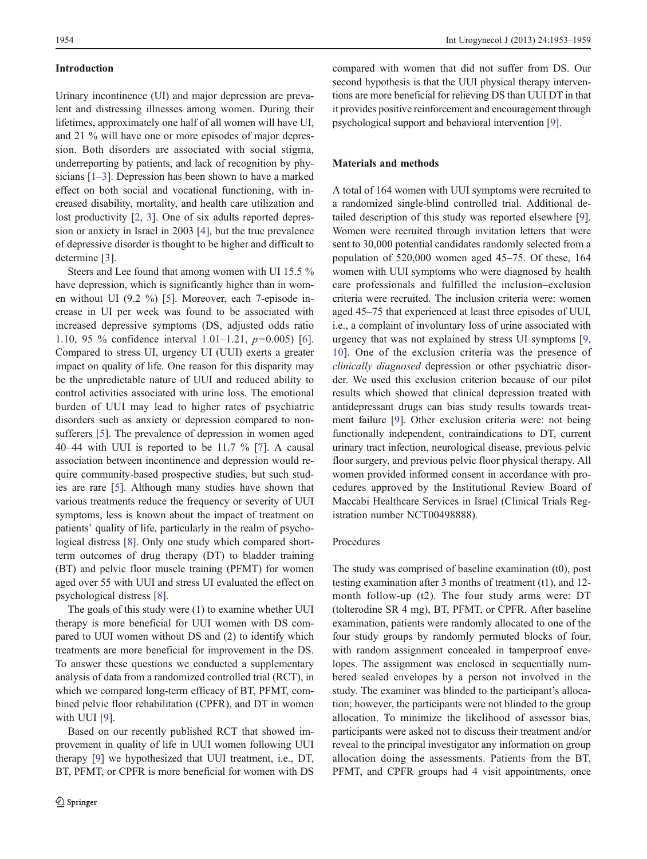## Introduction

Urinary incontinence (UI) and major depression are prevalent and distressing illnesses among women. During their lifetimes, approximately one half of all women will have UI, and 21 % will have one or more episodes of major depression. Both disorders are associated with social stigma, underreporting by patients, and lack of recognition by physicians [[1](#page-5-0)–[3\]](#page-5-0). Depression has been shown to have a marked effect on both social and vocational functioning, with increased disability, mortality, and health care utilization and lost productivity [\[2](#page-5-0), [3](#page-5-0)]. One of six adults reported depression or anxiety in Israel in 2003 [[4\]](#page-5-0), but the true prevalence of depressive disorder is thought to be higher and difficult to determine [[3\]](#page-5-0).

Steers and Lee found that among women with UI 15.5 % have depression, which is significantly higher than in women without UI (9.2 %) [[5\]](#page-5-0). Moreover, each 7-episode increase in UI per week was found to be associated with increased depressive symptoms (DS, adjusted odds ratio 1.10, 95 % confidence interval 1.01–1.21, p=0.005) [\[6](#page-5-0)]. Compared to stress UI, urgency UI (UUI) exerts a greater impact on quality of life. One reason for this disparity may be the unpredictable nature of UUI and reduced ability to control activities associated with urine loss. The emotional burden of UUI may lead to higher rates of psychiatric disorders such as anxiety or depression compared to nonsufferers [[5\]](#page-5-0). The prevalence of depression in women aged 40–44 with UUI is reported to be 11.7  $\%$  [\[7](#page-5-0)]. A causal association between incontinence and depression would require community-based prospective studies, but such studies are rare [[5](#page-5-0)]. Although many studies have shown that various treatments reduce the frequency or severity of UUI symptoms, less is known about the impact of treatment on patients' quality of life, particularly in the realm of psychological distress [\[8](#page-5-0)]. Only one study which compared shortterm outcomes of drug therapy (DT) to bladder training (BT) and pelvic floor muscle training (PFMT) for women aged over 55 with UUI and stress UI evaluated the effect on psychological distress [[8\]](#page-5-0).

The goals of this study were (1) to examine whether UUI therapy is more beneficial for UUI women with DS compared to UUI women without DS and (2) to identify which treatments are more beneficial for improvement in the DS. To answer these questions we conducted a supplementary analysis of data from a randomized controlled trial (RCT), in which we compared long-term efficacy of BT, PFMT, combined pelvic floor rehabilitation (CPFR), and DT in women with UUI [\[9](#page-5-0)].

Based on our recently published RCT that showed improvement in quality of life in UUI women following UUI therapy [[9\]](#page-5-0) we hypothesized that UUI treatment, i.e., DT, BT, PFMT, or CPFR is more beneficial for women with DS compared with women that did not suffer from DS. Our second hypothesis is that the UUI physical therapy interventions are more beneficial for relieving DS than UUI DT in that it provides positive reinforcement and encouragement through psychological support and behavioral intervention [[9\]](#page-5-0).

## Materials and methods

A total of 164 women with UUI symptoms were recruited to a randomized single-blind controlled trial. Additional detailed description of this study was reported elsewhere [[9\]](#page-5-0). Women were recruited through invitation letters that were sent to 30,000 potential candidates randomly selected from a population of 520,000 women aged 45–75. Of these, 164 women with UUI symptoms who were diagnosed by health care professionals and fulfilled the inclusion–exclusion criteria were recruited. The inclusion criteria were: women aged 45–75 that experienced at least three episodes of UUI, i.e., a complaint of involuntary loss of urine associated with urgency that was not explained by stress UI symptoms [[9,](#page-5-0) [10](#page-5-0)]. One of the exclusion criteria was the presence of clinically diagnosed depression or other psychiatric disorder. We used this exclusion criterion because of our pilot results which showed that clinical depression treated with antidepressant drugs can bias study results towards treatment failure [\[9](#page-5-0)]. Other exclusion criteria were: not being functionally independent, contraindications to DT, current urinary tract infection, neurological disease, previous pelvic floor surgery, and previous pelvic floor physical therapy. All women provided informed consent in accordance with procedures approved by the Institutional Review Board of Maccabi Healthcare Services in Israel (Clinical Trials Registration number NCT00498888).

## Procedures

The study was comprised of baseline examination (t0), post testing examination after 3 months of treatment (t1), and 12 month follow-up (t2). The four study arms were: DT (tolterodine SR 4 mg), BT, PFMT, or CPFR. After baseline examination, patients were randomly allocated to one of the four study groups by randomly permuted blocks of four, with random assignment concealed in tamperproof envelopes. The assignment was enclosed in sequentially numbered sealed envelopes by a person not involved in the study. The examiner was blinded to the participant's allocation; however, the participants were not blinded to the group allocation. To minimize the likelihood of assessor bias, participants were asked not to discuss their treatment and/or reveal to the principal investigator any information on group allocation doing the assessments. Patients from the BT, PFMT, and CPFR groups had 4 visit appointments, once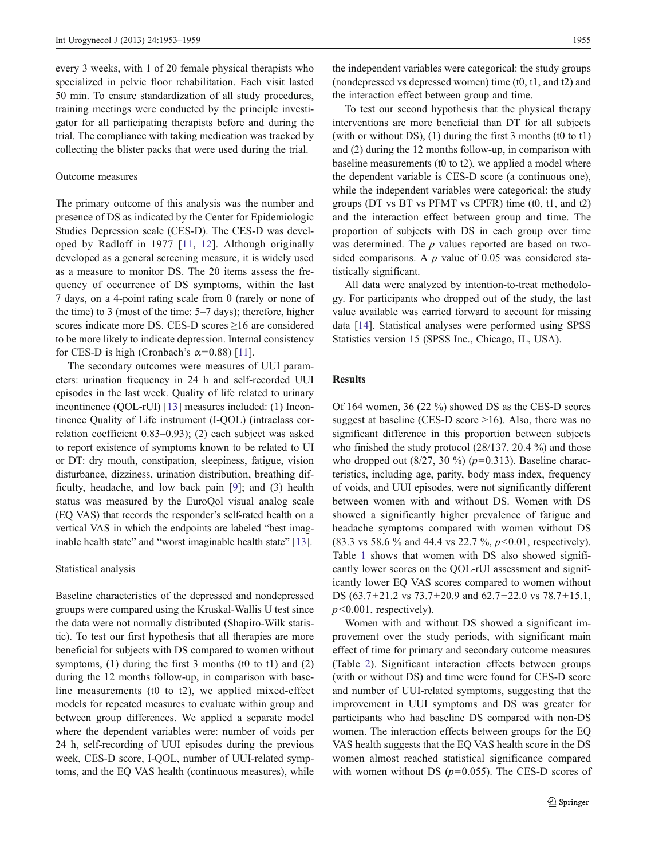every 3 weeks, with 1 of 20 female physical therapists who specialized in pelvic floor rehabilitation. Each visit lasted 50 min. To ensure standardization of all study procedures, training meetings were conducted by the principle investigator for all participating therapists before and during the trial. The compliance with taking medication was tracked by collecting the blister packs that were used during the trial.

## Outcome measures

The primary outcome of this analysis was the number and presence of DS as indicated by the Center for Epidemiologic Studies Depression scale (CES-D). The CES-D was developed by Radloff in 1977 [[11,](#page-5-0) [12](#page-5-0)]. Although originally developed as a general screening measure, it is widely used as a measure to monitor DS. The 20 items assess the frequency of occurrence of DS symptoms, within the last 7 days, on a 4-point rating scale from 0 (rarely or none of the time) to 3 (most of the time: 5–7 days); therefore, higher scores indicate more DS. CES-D scores ≥16 are considered to be more likely to indicate depression. Internal consistency for CES-D is high (Cronbach's  $\alpha$ =0.88) [\[11\]](#page-5-0).

The secondary outcomes were measures of UUI parameters: urination frequency in 24 h and self-recorded UUI episodes in the last week. Quality of life related to urinary incontinence (QOL-rUI) [\[13](#page-5-0)] measures included: (1) Incontinence Quality of Life instrument (I-QOL) (intraclass correlation coefficient 0.83–0.93); (2) each subject was asked to report existence of symptoms known to be related to UI or DT: dry mouth, constipation, sleepiness, fatigue, vision disturbance, dizziness, urination distribution, breathing difficulty, headache, and low back pain [\[9](#page-5-0)]; and (3) health status was measured by the EuroQol visual analog scale (EQ VAS) that records the responder's self-rated health on a vertical VAS in which the endpoints are labeled "best imag-inable health state" and "worst imaginable health state" [\[13](#page-5-0)].

#### Statistical analysis

Baseline characteristics of the depressed and nondepressed groups were compared using the Kruskal-Wallis U test since the data were not normally distributed (Shapiro-Wilk statistic). To test our first hypothesis that all therapies are more beneficial for subjects with DS compared to women without symptoms,  $(1)$  during the first 3 months  $(t0 \text{ to } t1)$  and  $(2)$ during the 12 months follow-up, in comparison with baseline measurements (t0 to t2), we applied mixed-effect models for repeated measures to evaluate within group and between group differences. We applied a separate model where the dependent variables were: number of voids per 24 h, self-recording of UUI episodes during the previous week, CES-D score, I-QOL, number of UUI-related symptoms, and the EQ VAS health (continuous measures), while

the independent variables were categorical: the study groups (nondepressed vs depressed women) time (t0, t1, and t2) and the interaction effect between group and time.

To test our second hypothesis that the physical therapy interventions are more beneficial than DT for all subjects (with or without DS), (1) during the first 3 months (t0 to t1) and (2) during the 12 months follow-up, in comparison with baseline measurements (t0 to t2), we applied a model where the dependent variable is CES-D score (a continuous one), while the independent variables were categorical: the study groups (DT vs BT vs PFMT vs CPFR) time (t0, t1, and t2) and the interaction effect between group and time. The proportion of subjects with DS in each group over time was determined. The  $p$  values reported are based on twosided comparisons. A  $p$  value of 0.05 was considered statistically significant.

All data were analyzed by intention-to-treat methodology. For participants who dropped out of the study, the last value available was carried forward to account for missing data [[14\]](#page-5-0). Statistical analyses were performed using SPSS Statistics version 15 (SPSS Inc., Chicago, IL, USA).

#### Results

Of 164 women, 36 (22 %) showed DS as the CES-D scores suggest at baseline (CES-D score >16). Also, there was no significant difference in this proportion between subjects who finished the study protocol (28/137, 20.4 %) and those who dropped out  $(8/27, 30\%)$  ( $p=0.313$ ). Baseline characteristics, including age, parity, body mass index, frequency of voids, and UUI episodes, were not significantly different between women with and without DS. Women with DS showed a significantly higher prevalence of fatigue and headache symptoms compared with women without DS (83.3 vs 58.6 % and 44.4 vs 22.7 %,  $p<0.01$ , respectively). Table [1](#page-3-0) shows that women with DS also showed significantly lower scores on the QOL-rUI assessment and significantly lower EQ VAS scores compared to women without DS (63.7±21.2 vs 73.7±20.9 and 62.7±22.0 vs 78.7±15.1,  $p<0.001$ , respectively).

Women with and without DS showed a significant improvement over the study periods, with significant main effect of time for primary and secondary outcome measures (Table [2](#page-3-0)). Significant interaction effects between groups (with or without DS) and time were found for CES-D score and number of UUI-related symptoms, suggesting that the improvement in UUI symptoms and DS was greater for participants who had baseline DS compared with non-DS women. The interaction effects between groups for the EQ VAS health suggests that the EQ VAS health score in the DS women almost reached statistical significance compared with women without DS  $(p=0.055)$ . The CES-D scores of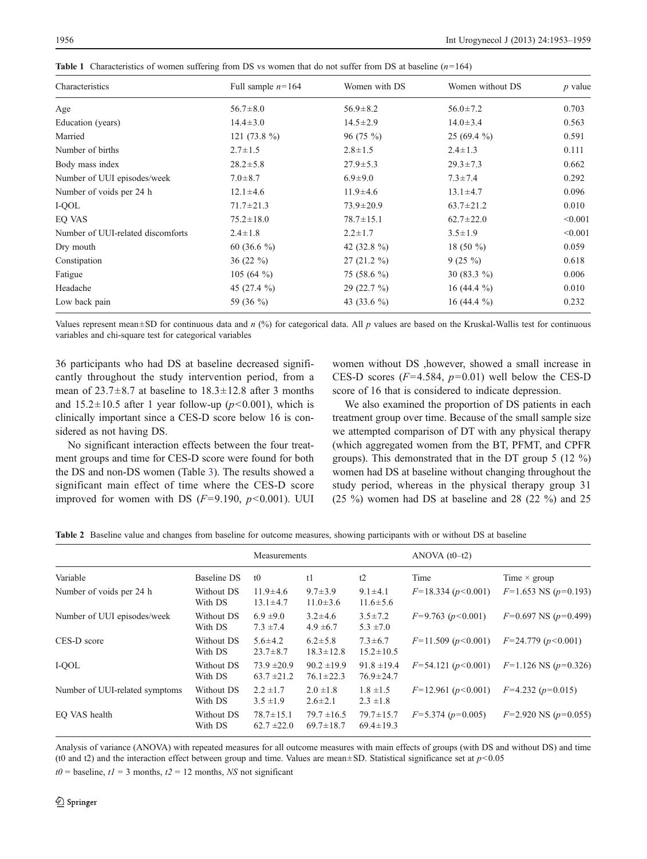| Characteristics                   | Full sample $n=164$ | Women with DS   | Women without DS | $p$ value |
|-----------------------------------|---------------------|-----------------|------------------|-----------|
| Age                               | $56.7 \pm 8.0$      | $56.9 \pm 8.2$  | $56.0 \pm 7.2$   | 0.703     |
| Education (years)                 | $14.4 \pm 3.0$      | $14.5 \pm 2.9$  | $14.0 \pm 3.4$   | 0.563     |
| Married                           | 121 $(73.8\%)$      | $96(75\%)$      | 25 (69.4 %)      | 0.591     |
| Number of births                  | $2.7 \pm 1.5$       | $2.8 \pm 1.5$   | $2.4 \pm 1.3$    | 0.111     |
| Body mass index                   | $28.2 \pm 5.8$      | $27.9 \pm 5.3$  | $29.3 \pm 7.3$   | 0.662     |
| Number of UUI episodes/week       | $7.0 \pm 8.7$       | $6.9 + 9.0$     | $7.3 \pm 7.4$    | 0.292     |
| Number of voids per 24 h          | $12.1 \pm 4.6$      | $11.9 \pm 4.6$  | $13.1 \pm 4.7$   | 0.096     |
| I-QOL                             | $71.7 \pm 21.3$     | $73.9 \pm 20.9$ | $63.7 \pm 21.2$  | 0.010     |
| EQ VAS                            | $75.2 \pm 18.0$     | $78.7 \pm 15.1$ | $62.7 \pm 22.0$  | < 0.001   |
| Number of UUI-related discomforts | $2.4 \pm 1.8$       | $2.2 \pm 1.7$   | $3.5 \pm 1.9$    | < 0.001   |
| Dry mouth                         | 60 (36.6 $\%$ )     | 42 $(32.8\%)$   | 18 $(50 \%)$     | 0.059     |
| Constipation                      | $36(22\%)$          | $27(21.2\%)$    | $9(25\%)$        | 0.618     |
| Fatigue                           | 105 (64 $\%$ )      | 75 (58.6 $\%$ ) | 30 $(83.3\%)$    | 0.006     |
| Headache                          | 45 $(27.4\%)$       | $29(22.7\%)$    | 16 (44.4 $\%$ )  | 0.010     |
| Low back pain                     | 59 (36 %)           | 43 (33.6 $\%$ ) | 16 (44.4 $%$ )   | 0.232     |

<span id="page-3-0"></span>**Table 1** Characteristics of women suffering from DS vs women that do not suffer from DS at baseline  $(n=164)$ 

Values represent mean $\pm$ SD for continuous data and n (%) for categorical data. All p values are based on the Kruskal-Wallis test for continuous variables and chi-square test for categorical variables

36 participants who had DS at baseline decreased significantly throughout the study intervention period, from a mean of  $23.7\pm8.7$  at baseline to  $18.3\pm12.8$  after 3 months and  $15.2 \pm 10.5$  after 1 year follow-up ( $p < 0.001$ ), which is clinically important since a CES-D score below 16 is considered as not having DS.

No significant interaction effects between the four treatment groups and time for CES-D score were found for both the DS and non-DS women (Table [3\)](#page-4-0). The results showed a significant main effect of time where the CES-D score improved for women with DS  $(F=9.190, p<0.001)$ . UUI

women without DS ,however, showed a small increase in CES-D scores  $(F=4.584, p=0.01)$  well below the CES-D score of 16 that is considered to indicate depression.

We also examined the proportion of DS patients in each treatment group over time. Because of the small sample size we attempted comparison of DT with any physical therapy (which aggregated women from the BT, PFMT, and CPFR groups). This demonstrated that in the DT group 5 (12 %) women had DS at baseline without changing throughout the study period, whereas in the physical therapy group 31 (25 %) women had DS at baseline and 28 (22 %) and 25

|  |  |  |  |  | Table 2 Baseline value and changes from baseline for outcome measures, showing participants with or without DS at baseline |  |  |
|--|--|--|--|--|----------------------------------------------------------------------------------------------------------------------------|--|--|
|--|--|--|--|--|----------------------------------------------------------------------------------------------------------------------------|--|--|

|                                |                       | Measurements                       |                                    |                                    | ANOVA $(t0-t2)$         |                            |
|--------------------------------|-----------------------|------------------------------------|------------------------------------|------------------------------------|-------------------------|----------------------------|
| Variable                       | Baseline DS           | t <sub>0</sub>                     | t1                                 | t2                                 | Time                    | Time $\times$ group        |
| Number of voids per 24 h       | Without DS<br>With DS | $11.9 \pm 4.6$<br>$13.1 \pm 4.7$   | $9.7 \pm 3.9$<br>$11.0 \pm 3.6$    | $9.1 \pm 4.1$<br>$11.6 \pm 5.6$    | $F=18.334(p<0.001)$     | $F=1.653$ NS ( $p=0.193$ ) |
| Number of UUI episodes/week    | Without DS<br>With DS | $6.9 \pm 9.0$<br>$7.3 \pm 7.4$     | $3.2 \pm 4.6$<br>$4.9 \pm 6.7$     | $3.5 \pm 7.2$<br>$5.3 \pm 7.0$     | $F=9.763(p<0.001)$      | $F=0.697$ NS ( $p=0.499$ ) |
| CES-D score                    | Without DS<br>With DS | $5.6 \pm 4.2$<br>$23.7 \pm 8.7$    | $6.2 \pm 5.8$<br>$18.3 \pm 12.8$   | $7.3 \pm 6.7$<br>$15.2 \pm 10.5$   | $F=11.509 (p<0.001)$    | $F=24.779(p<0.001)$        |
| I-QOL                          | Without DS<br>With DS | $73.9 \pm 20.9$<br>$63.7 \pm 21.2$ | $90.2 \pm 19.9$<br>$76.1 \pm 22.3$ | $91.8 \pm 19.4$<br>$76.9 \pm 24.7$ | $F=54.121(p<0.001)$     | $F=1.126$ NS ( $p=0.326$ ) |
| Number of UUI-related symptoms | Without DS<br>With DS | $2.2 \pm 1.7$<br>$3.5 \pm 1.9$     | $2.0 \pm 1.8$<br>$2.6 \pm 2.1$     | $1.8 \pm 1.5$<br>$2.3 \pm 1.8$     | $F=12.961(p<0.001)$     | $F=4.232$ ( $p=0.015$ )    |
| EO VAS health                  | Without DS<br>With DS | $78.7 \pm 15.1$<br>$62.7 \pm 22.0$ | $79.7 \pm 16.5$<br>$69.7 \pm 18.7$ | $79.7 \pm 15.7$<br>$69.4 \pm 19.3$ | $F=5.374$ ( $p=0.005$ ) | $F=2.920$ NS ( $p=0.055$ ) |

Analysis of variance (ANOVA) with repeated measures for all outcome measures with main effects of groups (with DS and without DS) and time (t0 and t2) and the interaction effect between group and time. Values are mean $\pm$ SD. Statistical significance set at  $p$ <0.05

 $t0$  = baseline,  $t1$  = 3 months,  $t2$  = 12 months, NS not significant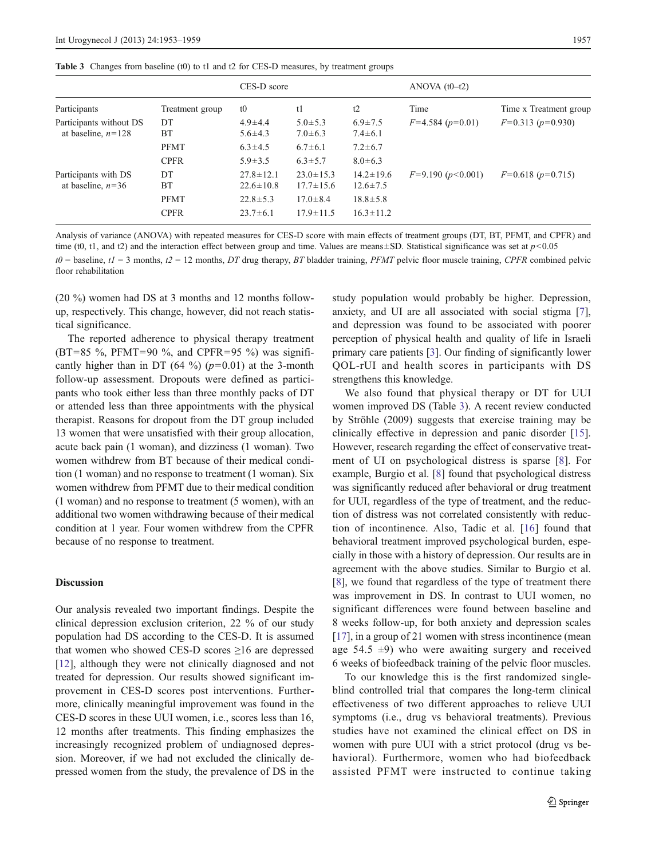<span id="page-4-0"></span>

|  |  |  |  |  | Table 3 Changes from baseline (t0) to t1 and t2 for CES-D measures, by treatment groups |
|--|--|--|--|--|-----------------------------------------------------------------------------------------|
|--|--|--|--|--|-----------------------------------------------------------------------------------------|

|                                                 |                            | CES-D score                        |                                    |                                   | ANOVA $(t0-t2)$        |                         |
|-------------------------------------------------|----------------------------|------------------------------------|------------------------------------|-----------------------------------|------------------------|-------------------------|
| Participants                                    | Treatment group            | t0                                 | t1                                 | t2                                | Time                   | Time x Treatment group  |
| Participants without DS<br>at baseline, $n=128$ | DT<br>BT                   | $4.9 \pm 4.4$<br>$5.6 \pm 4.3$     | $5.0 \pm 5.3$<br>$7.0 \pm 6.3$     | $6.9 \pm 7.5$<br>$7.4 \pm 6.1$    | $F=4.584$ ( $p=0.01$ ) | $F=0.313$ ( $p=0.930$ ) |
|                                                 | <b>PFMT</b>                | $6.3 \pm 4.5$                      | $6.7 \pm 6.1$                      | $7.2 \pm 6.7$                     |                        |                         |
|                                                 | <b>CPFR</b>                | $5.9 \pm 3.5$                      | $6.3 \pm 5.7$                      | $8.0 \pm 6.3$                     |                        |                         |
| Participants with DS<br>at baseline, $n=36$     | DT<br>BT                   | $27.8 \pm 12.1$<br>$22.6 \pm 10.8$ | $23.0 \pm 15.3$<br>$17.7 \pm 15.6$ | $14.2 \pm 19.6$<br>$12.6 \pm 7.5$ | $F=9.190 (p<0.001)$    | $F=0.618$ ( $p=0.715$ ) |
|                                                 | <b>PFMT</b><br><b>CPFR</b> | $22.8 \pm 5.3$<br>$23.7 \pm 6.1$   | $17.0 \pm 8.4$<br>$17.9 \pm 11.5$  | $18.8 \pm 5.8$<br>$16.3 \pm 11.2$ |                        |                         |

Analysis of variance (ANOVA) with repeated measures for CES-D score with main effects of treatment groups (DT, BT, PFMT, and CPFR) and time (t0, t1, and t2) and the interaction effect between group and time. Values are means $\pm$ SD. Statistical significance was set at p<0.05

 $t0$  = baseline,  $t1$  = 3 months,  $t2$  = 12 months, DT drug therapy, BT bladder training, PFMT pelvic floor muscle training, CPFR combined pelvic floor rehabilitation

(20 %) women had DS at 3 months and 12 months followup, respectively. This change, however, did not reach statistical significance.

The reported adherence to physical therapy treatment  $(BT=85 \text{ %}, PFMT=90 \text{ %}, and CPFR=95 \text{ %})$  was significantly higher than in DT (64 %) ( $p=0.01$ ) at the 3-month follow-up assessment. Dropouts were defined as participants who took either less than three monthly packs of DT or attended less than three appointments with the physical therapist. Reasons for dropout from the DT group included 13 women that were unsatisfied with their group allocation, acute back pain (1 woman), and dizziness (1 woman). Two women withdrew from BT because of their medical condition (1 woman) and no response to treatment (1 woman). Six women withdrew from PFMT due to their medical condition (1 woman) and no response to treatment (5 women), with an additional two women withdrawing because of their medical condition at 1 year. Four women withdrew from the CPFR because of no response to treatment.

# Discussion

Our analysis revealed two important findings. Despite the clinical depression exclusion criterion, 22 % of our study population had DS according to the CES-D. It is assumed that women who showed CES-D scores  $\geq 16$  are depressed [\[12](#page-5-0)], although they were not clinically diagnosed and not treated for depression. Our results showed significant improvement in CES-D scores post interventions. Furthermore, clinically meaningful improvement was found in the CES-D scores in these UUI women, i.e., scores less than 16, 12 months after treatments. This finding emphasizes the increasingly recognized problem of undiagnosed depression. Moreover, if we had not excluded the clinically depressed women from the study, the prevalence of DS in the study population would probably be higher. Depression, anxiety, and UI are all associated with social stigma [[7\]](#page-5-0), and depression was found to be associated with poorer perception of physical health and quality of life in Israeli primary care patients [[3\]](#page-5-0). Our finding of significantly lower QOL-rUI and health scores in participants with DS strengthens this knowledge.

We also found that physical therapy or DT for UUI women improved DS (Table 3). A recent review conducted by Ströhle (2009) suggests that exercise training may be clinically effective in depression and panic disorder [[15\]](#page-5-0). However, research regarding the effect of conservative treatment of UI on psychological distress is sparse [[8\]](#page-5-0). For example, Burgio et al. [\[8](#page-5-0)] found that psychological distress was significantly reduced after behavioral or drug treatment for UUI, regardless of the type of treatment, and the reduction of distress was not correlated consistently with reduction of incontinence. Also, Tadic et al. [\[16\]](#page-6-0) found that behavioral treatment improved psychological burden, especially in those with a history of depression. Our results are in agreement with the above studies. Similar to Burgio et al. [\[8](#page-5-0)], we found that regardless of the type of treatment there was improvement in DS. In contrast to UUI women, no significant differences were found between baseline and 8 weeks follow-up, for both anxiety and depression scales [\[17](#page-6-0)], in a group of 21 women with stress incontinence (mean age  $54.5 \pm 9$ ) who were awaiting surgery and received 6 weeks of biofeedback training of the pelvic floor muscles.

To our knowledge this is the first randomized singleblind controlled trial that compares the long-term clinical effectiveness of two different approaches to relieve UUI symptoms (i.e., drug vs behavioral treatments). Previous studies have not examined the clinical effect on DS in women with pure UUI with a strict protocol (drug vs behavioral). Furthermore, women who had biofeedback assisted PFMT were instructed to continue taking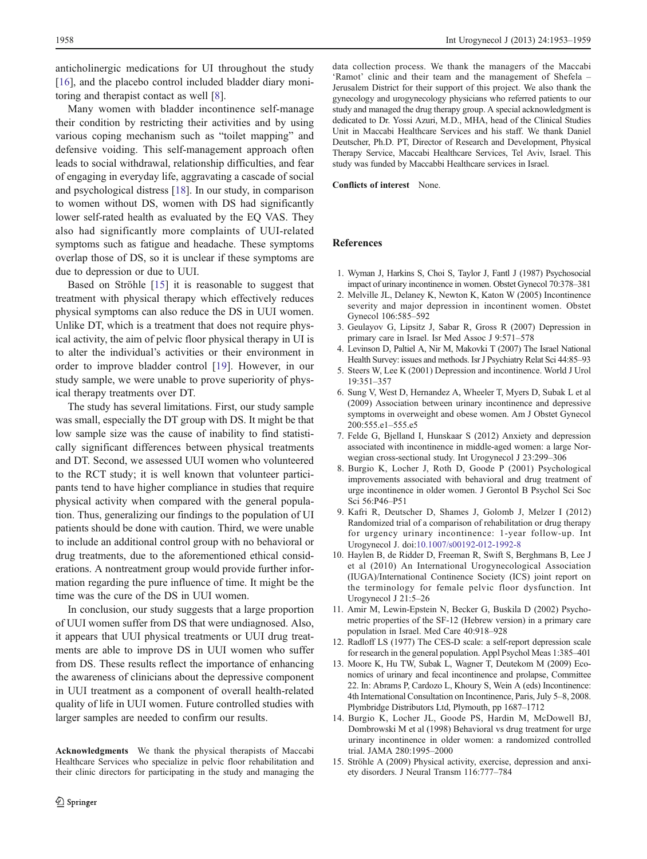<span id="page-5-0"></span>anticholinergic medications for UI throughout the study [\[16](#page-6-0)], and the placebo control included bladder diary monitoring and therapist contact as well [8].

Many women with bladder incontinence self-manage their condition by restricting their activities and by using various coping mechanism such as "toilet mapping" and defensive voiding. This self-management approach often leads to social withdrawal, relationship difficulties, and fear of engaging in everyday life, aggravating a cascade of social and psychological distress [\[18](#page-6-0)]. In our study, in comparison to women without DS, women with DS had significantly lower self-rated health as evaluated by the EQ VAS. They also had significantly more complaints of UUI-related symptoms such as fatigue and headache. These symptoms overlap those of DS, so it is unclear if these symptoms are due to depression or due to UUI.

Based on Ströhle [15] it is reasonable to suggest that treatment with physical therapy which effectively reduces physical symptoms can also reduce the DS in UUI women. Unlike DT, which is a treatment that does not require physical activity, the aim of pelvic floor physical therapy in UI is to alter the individual's activities or their environment in order to improve bladder control [[19](#page-6-0)]. However, in our study sample, we were unable to prove superiority of physical therapy treatments over DT.

The study has several limitations. First, our study sample was small, especially the DT group with DS. It might be that low sample size was the cause of inability to find statistically significant differences between physical treatments and DT. Second, we assessed UUI women who volunteered to the RCT study; it is well known that volunteer participants tend to have higher compliance in studies that require physical activity when compared with the general population. Thus, generalizing our findings to the population of UI patients should be done with caution. Third, we were unable to include an additional control group with no behavioral or drug treatments, due to the aforementioned ethical considerations. A nontreatment group would provide further information regarding the pure influence of time. It might be the time was the cure of the DS in UUI women.

In conclusion, our study suggests that a large proportion of UUI women suffer from DS that were undiagnosed. Also, it appears that UUI physical treatments or UUI drug treatments are able to improve DS in UUI women who suffer from DS. These results reflect the importance of enhancing the awareness of clinicians about the depressive component in UUI treatment as a component of overall health-related quality of life in UUI women. Future controlled studies with larger samples are needed to confirm our results.

Acknowledgments We thank the physical therapists of Maccabi Healthcare Services who specialize in pelvic floor rehabilitation and their clinic directors for participating in the study and managing the data collection process. We thank the managers of the Maccabi 'Ramot' clinic and their team and the management of Shefela – Jerusalem District for their support of this project. We also thank the gynecology and urogynecology physicians who referred patients to our study and managed the drug therapy group. A special acknowledgment is dedicated to Dr. Yossi Azuri, M.D., MHA, head of the Clinical Studies Unit in Maccabi Healthcare Services and his staff. We thank Daniel Deutscher, Ph.D. PT, Director of Research and Development, Physical Therapy Service, Maccabi Healthcare Services, Tel Aviv, Israel. This study was funded by Maccabbi Healthcare services in Israel.

Conflicts of interest None.

#### References

- 1. Wyman J, Harkins S, Choi S, Taylor J, Fantl J (1987) Psychosocial impact of urinary incontinence in women. Obstet Gynecol 70:378–381
- 2. Melville JL, Delaney K, Newton K, Katon W (2005) Incontinence severity and major depression in incontinent women. Obstet Gynecol 106:585–592
- 3. Geulayov G, Lipsitz J, Sabar R, Gross R (2007) Depression in primary care in Israel. Isr Med Assoc J 9:571–578
- 4. Levinson D, Paltiel A, Nir M, Makovki T (2007) The Israel National Health Survey: issues and methods. Isr J Psychiatry Relat Sci 44:85–93
- 5. Steers W, Lee K (2001) Depression and incontinence. World J Urol 19:351–357
- 6. Sung V, West D, Hernandez A, Wheeler T, Myers D, Subak L et al (2009) Association between urinary incontinence and depressive symptoms in overweight and obese women. Am J Obstet Gynecol 200:555.e1–555.e5
- 7. Felde G, Bjelland I, Hunskaar S (2012) Anxiety and depression associated with incontinence in middle-aged women: a large Norwegian cross-sectional study. Int Urogynecol J 23:299–306
- 8. Burgio K, Locher J, Roth D, Goode P (2001) Psychological improvements associated with behavioral and drug treatment of urge incontinence in older women. J Gerontol B Psychol Sci Soc Sci 56:P46–P51
- 9. Kafri R, Deutscher D, Shames J, Golomb J, Melzer I (2012) Randomized trial of a comparison of rehabilitation or drug therapy for urgency urinary incontinence: 1-year follow-up. Int Urogynecol J. doi:[10.1007/s00192-012-1992-8](http://dx.doi.org/10.1007/s00192-012-1992-8)
- 10. Haylen B, de Ridder D, Freeman R, Swift S, Berghmans B, Lee J et al (2010) An International Urogynecological Association (IUGA)/International Continence Society (ICS) joint report on the terminology for female pelvic floor dysfunction. Int Urogynecol J 21:5–26
- 11. Amir M, Lewin-Epstein N, Becker G, Buskila D (2002) Psychometric properties of the SF-12 (Hebrew version) in a primary care population in Israel. Med Care 40:918–928
- 12. Radloff LS (1977) The CES-D scale: a self-report depression scale for research in the general population. Appl Psychol Meas 1:385–401
- 13. Moore K, Hu TW, Subak L, Wagner T, Deutekom M (2009) Economics of urinary and fecal incontinence and prolapse, Committee 22. In: Abrams P, Cardozo L, Khoury S, Wein A (eds) Incontinence: 4th International Consultation on Incontinence, Paris, July 5–8, 2008. Plymbridge Distributors Ltd, Plymouth, pp 1687–1712
- 14. Burgio K, Locher JL, Goode PS, Hardin M, McDowell BJ, Dombrowski M et al (1998) Behavioral vs drug treatment for urge urinary incontinence in older women: a randomized controlled trial. JAMA 280:1995–2000
- 15. Ströhle A (2009) Physical activity, exercise, depression and anxiety disorders. J Neural Transm 116:777–784